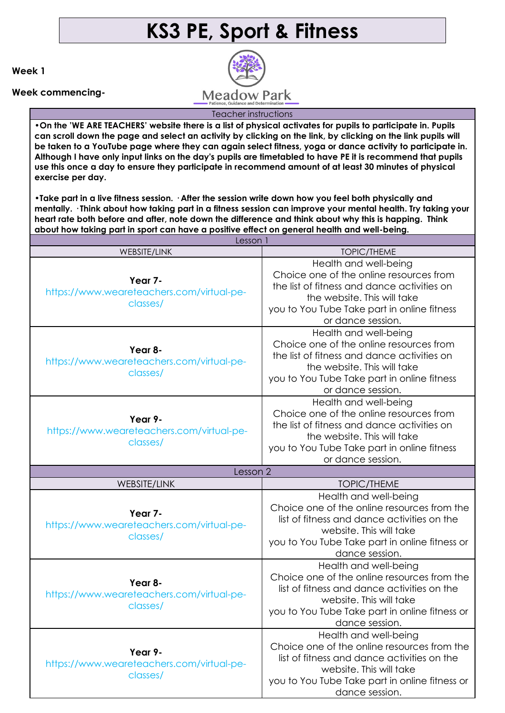## **KS3 PE, Sport & Fitness**

**Week 1**

**Week commencing-**

**Meadow Park** 

Teacher instructions

**•On the 'WE ARE TEACHERS' website there is a list of physical activates for pupils to participate in. Pupils can scroll down the page and select an activity by clicking on the link, by clicking on the link pupils will be taken to a YouTube page where they can again select fitness, yoga or dance activity to participate in. Although I have only input links on the day's pupils are timetabled to have PE it is recommend that pupils use this once a day to ensure they participate in recommend amount of at least 30 minutes of physical exercise per day.**

**•Take part in a live fitness session. · After the session write down how you feel both physically and mentally. · Think about how taking part in a fitness session can improve your mental health. Try taking your heart rate both before and after, note down the difference and think about why this is happing. Think about how taking part in sport can have a positive effect on general health and well-being.** 

| Lesson 1                                                         |                                                                                                                                                                                                                    |
|------------------------------------------------------------------|--------------------------------------------------------------------------------------------------------------------------------------------------------------------------------------------------------------------|
| <b>WEBSITE/LINK</b>                                              | <b>TOPIC/THEME</b>                                                                                                                                                                                                 |
| Year 7-<br>https://www.weareteachers.com/virtual-pe-<br>classes/ | Health and well-being<br>Choice one of the online resources from<br>the list of fitness and dance activities on<br>the website. This will take<br>you to You Tube Take part in online fitness<br>or dance session. |
| Year 8-<br>https://www.weareteachers.com/virtual-pe-<br>classes/ | Health and well-being<br>Choice one of the online resources from<br>the list of fitness and dance activities on<br>the website. This will take<br>you to You Tube Take part in online fitness<br>or dance session. |
| Year 9-<br>https://www.weareteachers.com/virtual-pe-<br>classes/ | Health and well-being<br>Choice one of the online resources from<br>the list of fitness and dance activities on<br>the website. This will take<br>you to You Tube Take part in online fitness<br>or dance session. |
| Lesson 2                                                         |                                                                                                                                                                                                                    |
| <b>WEBSITE/LINK</b>                                              | <b>TOPIC/THEME</b>                                                                                                                                                                                                 |
| Year 7-<br>https://www.weareteachers.com/virtual-pe-<br>classes/ | Health and well-being<br>Choice one of the online resources from the<br>list of fitness and dance activities on the<br>website. This will take<br>you to You Tube Take part in online fitness or<br>dance session. |
| Year 8-<br>https://www.weareteachers.com/virtual-pe-<br>classes/ | Health and well-being<br>Choice one of the online resources from the<br>list of fitness and dance activities on the<br>website. This will take<br>you to You Tube Take part in online fitness or<br>dance session. |
| Year 9-<br>https://www.weareteachers.com/virtual-pe-<br>classes/ | Health and well-being<br>Choice one of the online resources from the<br>list of fitness and dance activities on the<br>website. This will take<br>you to You Tube Take part in online fitness or<br>dance session. |